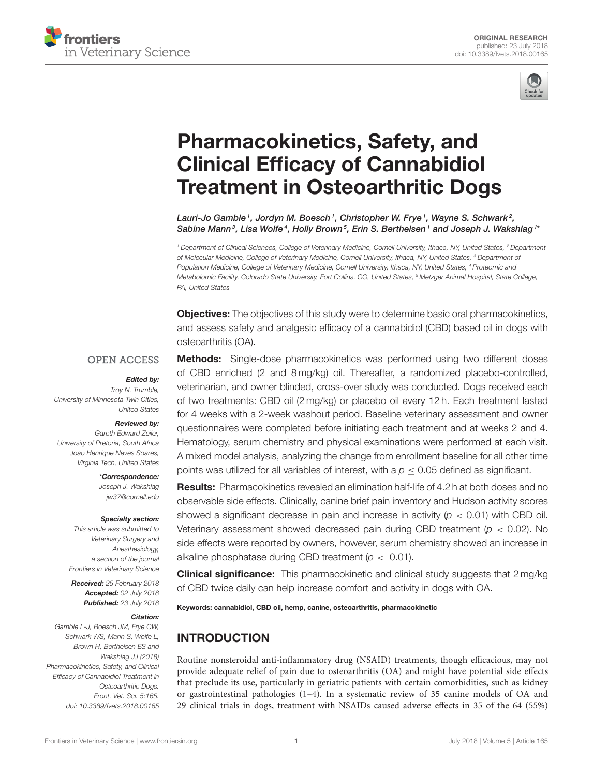



# Pharmacokinetics, Safety, and Clinical Efficacy of Cannabidiol [Treatment in Osteoarthritic Dogs](https://www.frontiersin.org/articles/10.3389/fvets.2018.00165/full)

[Lauri-Jo Gamble](http://loop.frontiersin.org/people/337682/overview)  $^{\textrm{\tiny{\textit{1}}}}$ , [Jordyn M. Boesch](http://loop.frontiersin.org/people/572980/overview)  $^{\textrm{\tiny{\textit{1}}}}$ , Christopher W. Frye  $^{\textrm{\tiny{\textit{1}}}}$ , [Wayne S. Schwark](http://loop.frontiersin.org/people/552722/overview)  $^{\textrm{\tiny{\textit{2}}}}$ , [Sabine Mann](http://loop.frontiersin.org/people/503390/overview) $^3$ , Lisa Wolfe $^4$ , Holly Brown $^5$ , [Erin S. Berthelsen](http://loop.frontiersin.org/people/552737/overview) $^1$  and [Joseph J. Wakshlag](http://loop.frontiersin.org/people/262628/overview) $^{1*}$ 

*<sup>1</sup> Department of Clinical Sciences, College of Veterinary Medicine, Cornell University, Ithaca, NY, United States, <sup>2</sup> Department of Molecular Medicine, College of Veterinary Medicine, Cornell University, Ithaca, NY, United States, <sup>3</sup> Department of Population Medicine, College of Veterinary Medicine, Cornell University, Ithaca, NY, United States, <sup>4</sup> Proteomic and Metabolomic Facility, Colorado State University, Fort Collins, CO, United States, <sup>5</sup> Metzger Animal Hospital, State College, PA, United States*

**Objectives:** The objectives of this study were to determine basic oral pharmacokinetics, and assess safety and analgesic efficacy of a cannabidiol (CBD) based oil in dogs with osteoarthritis (OA).

#### **OPEN ACCESS**

#### Edited by:

*Troy N. Trumble, University of Minnesota Twin Cities, United States*

#### Reviewed by:

*Gareth Edward Zeiler, University of Pretoria, South Africa Joao Henrique Neves Soares, Virginia Tech, United States*

> \*Correspondence: *Joseph J. Wakshlag [jw37@cornell.edu](mailto:jw37@cornell.edu)*

#### Specialty section:

*This article was submitted to Veterinary Surgery and Anesthesiology, a section of the journal Frontiers in Veterinary Science*

Received: *25 February 2018* Accepted: *02 July 2018* Published: *23 July 2018*

#### Citation:

*Gamble L-J, Boesch JM, Frye CW, Schwark WS, Mann S, Wolfe L, Brown H, Berthelsen ES and Wakshlag JJ (2018) Pharmacokinetics, Safety, and Clinical Efficacy of Cannabidiol Treatment in Osteoarthritic Dogs. Front. Vet. Sci. 5:165. doi: [10.3389/fvets.2018.00165](https://doi.org/10.3389/fvets.2018.00165)*

Methods: Single-dose pharmacokinetics was performed using two different doses of CBD enriched (2 and 8 mg/kg) oil. Thereafter, a randomized placebo-controlled, veterinarian, and owner blinded, cross-over study was conducted. Dogs received each of two treatments: CBD oil (2 mg/kg) or placebo oil every 12 h. Each treatment lasted for 4 weeks with a 2-week washout period. Baseline veterinary assessment and owner questionnaires were completed before initiating each treatment and at weeks 2 and 4. Hematology, serum chemistry and physical examinations were performed at each visit. A mixed model analysis, analyzing the change from enrollment baseline for all other time points was utilized for all variables of interest, with a  $p \le 0.05$  defined as significant.

# Results: Pharmacokinetics revealed an elimination half-life of 4.2 h at both doses and no observable side effects. Clinically, canine brief pain inventory and Hudson activity scores showed a significant decrease in pain and increase in activity (*p* < 0.01) with CBD oil. Veterinary assessment showed decreased pain during CBD treatment (*p* < 0.02). No side effects were reported by owners, however, serum chemistry showed an increase in alkaline phosphatase during CBD treatment (*p* < 0.01).

**Clinical significance:** This pharmacokinetic and clinical study suggests that 2 mg/kg of CBD twice daily can help increase comfort and activity in dogs with OA.

Keywords: cannabidiol, CBD oil, hemp, canine, osteoarthritis, pharmacokinetic

# INTRODUCTION

Routine nonsteroidal anti-inflammatory drug (NSAID) treatments, though efficacious, may not provide adequate relief of pain due to osteoarthritis (OA) and might have potential side effects that preclude its use, particularly in geriatric patients with certain comorbidities, such as kidney or gastrointestinal pathologies [\(1](#page-7-0)[–4\)](#page-7-1). In a systematic review of 35 canine models of OA and 29 clinical trials in dogs, treatment with NSAIDs caused adverse effects in 35 of the 64 (55%)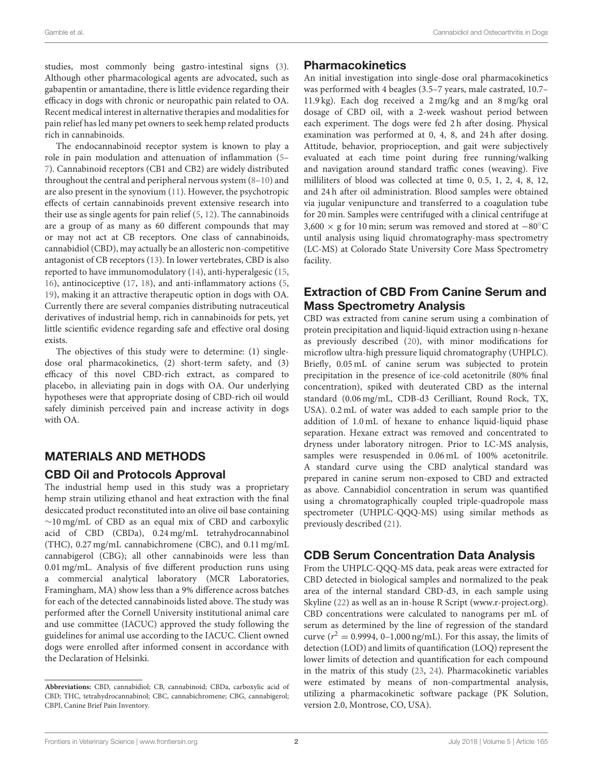studies, most commonly being gastro-intestinal signs [\(3\)](#page-7-2). Although other pharmacological agents are advocated, such as gabapentin or amantadine, there is little evidence regarding their efficacy in dogs with chronic or neuropathic pain related to OA. Recent medical interest in alternative therapies and modalities for pain relief has led many pet owners to seek hemp related products rich in cannabinoids.

The endocannabinoid receptor system is known to play a role in pain modulation and attenuation of inflammation [\(5–](#page-7-3) [7\)](#page-7-4). Cannabinoid receptors (CB1 and CB2) are widely distributed throughout the central and peripheral nervous system [\(8–](#page-7-5)[10\)](#page-7-6) and are also present in the synovium [\(11\)](#page-7-7). However, the psychotropic effects of certain cannabinoids prevent extensive research into their use as single agents for pain relief [\(5,](#page-7-3) [12\)](#page-7-8). The cannabinoids are a group of as many as 60 different compounds that may or may not act at CB receptors. One class of cannabinoids, cannabidiol (CBD), may actually be an allosteric non-competitive antagonist of CB receptors [\(13\)](#page-7-9). In lower vertebrates, CBD is also reported to have immunomodulatory [\(14\)](#page-7-10), anti-hyperalgesic [\(15,](#page-7-11) [16\)](#page-7-12), antinociceptive [\(17,](#page-7-13) [18\)](#page-7-14), and anti-inflammatory actions [\(5,](#page-7-3) [19\)](#page-7-15), making it an attractive therapeutic option in dogs with OA. Currently there are several companies distributing nutraceutical derivatives of industrial hemp, rich in cannabinoids for pets, yet little scientific evidence regarding safe and effective oral dosing exists.

The objectives of this study were to determine: (1) singledose oral pharmacokinetics, (2) short-term safety, and (3) efficacy of this novel CBD-rich extract, as compared to placebo, in alleviating pain in dogs with OA. Our underlying hypotheses were that appropriate dosing of CBD-rich oil would safely diminish perceived pain and increase activity in dogs with OA.

# MATERIALS AND METHODS

# CBD Oil and Protocols Approval

The industrial hemp used in this study was a proprietary hemp strain utilizing ethanol and heat extraction with the final desiccated product reconstituted into an olive oil base containing ∼10 mg/mL of CBD as an equal mix of CBD and carboxylic acid of CBD (CBDa), 0.24 mg/mL tetrahydrocannabinol (THC), 0.27 mg/mL cannabichromene (CBC), and 0.11 mg/mL cannabigerol (CBG); all other cannabinoids were less than 0.01 mg/mL. Analysis of five different production runs using a commercial analytical laboratory (MCR Laboratories, Framingham, MA) show less than a 9% difference across batches for each of the detected cannabinoids listed above. The study was performed after the Cornell University institutional animal care and use committee (IACUC) approved the study following the guidelines for animal use according to the IACUC. Client owned dogs were enrolled after informed consent in accordance with the Declaration of Helsinki.

# Pharmacokinetics

An initial investigation into single-dose oral pharmacokinetics was performed with 4 beagles (3.5–7 years, male castrated, 10.7– 11.9 kg). Each dog received a 2 mg/kg and an 8 mg/kg oral dosage of CBD oil, with a 2-week washout period between each experiment. The dogs were fed 2 h after dosing. Physical examination was performed at 0, 4, 8, and 24 h after dosing. Attitude, behavior, proprioception, and gait were subjectively evaluated at each time point during free running/walking and navigation around standard traffic cones (weaving). Five milliliters of blood was collected at time 0, 0.5, 1, 2, 4, 8, 12, and 24 h after oil administration. Blood samples were obtained via jugular venipuncture and transferred to a coagulation tube for 20 min. Samples were centrifuged with a clinical centrifuge at 3,600 × g for 10 min; serum was removed and stored at −80◦C until analysis using liquid chromatography-mass spectrometry (LC-MS) at Colorado State University Core Mass Spectrometry facility.

# Extraction of CBD From Canine Serum and Mass Spectrometry Analysis

CBD was extracted from canine serum using a combination of protein precipitation and liquid-liquid extraction using n-hexane as previously described [\(20\)](#page-7-16), with minor modifications for microflow ultra-high pressure liquid chromatography (UHPLC). Briefly, 0.05 mL of canine serum was subjected to protein precipitation in the presence of ice-cold acetonitrile (80% final concentration), spiked with deuterated CBD as the internal standard (0.06 mg/mL, CDB-d3 Cerilliant, Round Rock, TX, USA). 0.2 mL of water was added to each sample prior to the addition of 1.0 mL of hexane to enhance liquid-liquid phase separation. Hexane extract was removed and concentrated to dryness under laboratory nitrogen. Prior to LC-MS analysis, samples were resuspended in 0.06 mL of 100% acetonitrile. A standard curve using the CBD analytical standard was prepared in canine serum non-exposed to CBD and extracted as above. Cannabidiol concentration in serum was quantified using a chromatographically coupled triple-quadropole mass spectrometer (UHPLC-QQQ-MS) using similar methods as previously described [\(21\)](#page-7-17).

# CDB Serum Concentration Data Analysis

From the UHPLC-QQQ-MS data, peak areas were extracted for CBD detected in biological samples and normalized to the peak area of the internal standard CBD-d3, in each sample using Skyline [\(22\)](#page-7-18) as well as an in-house R Script [\(www.r-project.org\)](http://www.r-project.org). CBD concentrations were calculated to nanograms per mL of serum as determined by the line of regression of the standard curve ( $r^2 = 0.9994$ , 0-1,000 ng/mL). For this assay, the limits of detection (LOD) and limits of quantification (LOQ) represent the lower limits of detection and quantification for each compound in the matrix of this study [\(23,](#page-7-19) [24\)](#page-7-20). Pharmacokinetic variables were estimated by means of non-compartmental analysis, utilizing a pharmacokinetic software package (PK Solution, version 2.0, Montrose, CO, USA).

**Abbreviations:** CBD, cannabidiol; CB, cannabinoid; CBDa, carboxylic acid of CBD; THC, tetrahydrocannabinol; CBC, cannabichromene; CBG, cannabigerol; CBPI, Canine Brief Pain Inventory.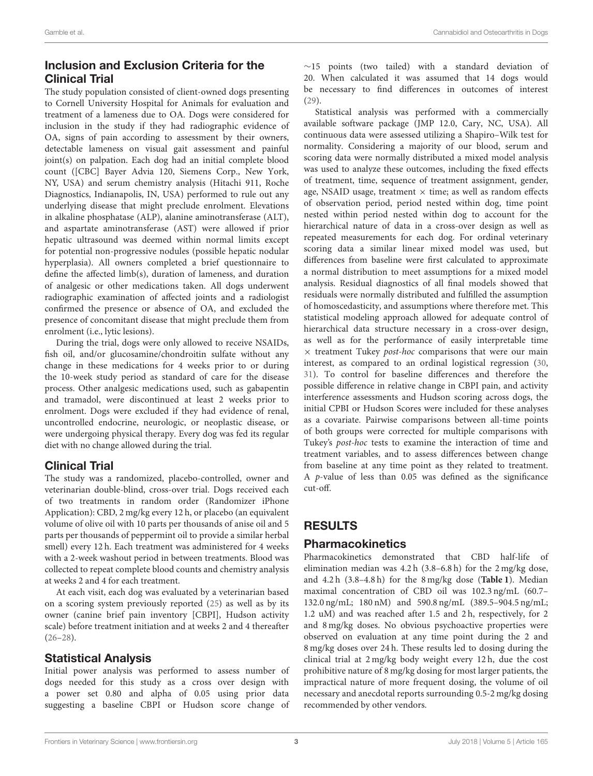# Inclusion and Exclusion Criteria for the Clinical Trial

The study population consisted of client-owned dogs presenting to Cornell University Hospital for Animals for evaluation and treatment of a lameness due to OA. Dogs were considered for inclusion in the study if they had radiographic evidence of OA, signs of pain according to assessment by their owners, detectable lameness on visual gait assessment and painful joint(s) on palpation. Each dog had an initial complete blood count ([CBC] Bayer Advia 120, Siemens Corp., New York, NY, USA) and serum chemistry analysis (Hitachi 911, Roche Diagnostics, Indianapolis, IN, USA) performed to rule out any underlying disease that might preclude enrolment. Elevations in alkaline phosphatase (ALP), alanine aminotransferase (ALT), and aspartate aminotransferase (AST) were allowed if prior hepatic ultrasound was deemed within normal limits except for potential non-progressive nodules (possible hepatic nodular hyperplasia). All owners completed a brief questionnaire to define the affected limb(s), duration of lameness, and duration of analgesic or other medications taken. All dogs underwent radiographic examination of affected joints and a radiologist confirmed the presence or absence of OA, and excluded the presence of concomitant disease that might preclude them from enrolment (i.e., lytic lesions).

During the trial, dogs were only allowed to receive NSAIDs, fish oil, and/or glucosamine/chondroitin sulfate without any change in these medications for 4 weeks prior to or during the 10-week study period as standard of care for the disease process. Other analgesic medications used, such as gabapentin and tramadol, were discontinued at least 2 weeks prior to enrolment. Dogs were excluded if they had evidence of renal, uncontrolled endocrine, neurologic, or neoplastic disease, or were undergoing physical therapy. Every dog was fed its regular diet with no change allowed during the trial.

## Clinical Trial

The study was a randomized, placebo-controlled, owner and veterinarian double-blind, cross-over trial. Dogs received each of two treatments in random order (Randomizer iPhone Application): CBD, 2 mg/kg every 12 h, or placebo (an equivalent volume of olive oil with 10 parts per thousands of anise oil and 5 parts per thousands of peppermint oil to provide a similar herbal smell) every 12 h. Each treatment was administered for 4 weeks with a 2-week washout period in between treatments. Blood was collected to repeat complete blood counts and chemistry analysis at weeks 2 and 4 for each treatment.

At each visit, each dog was evaluated by a veterinarian based on a scoring system previously reported [\(25\)](#page-7-21) as well as by its owner (canine brief pain inventory [CBPI], Hudson activity scale) before treatment initiation and at weeks 2 and 4 thereafter  $(26-28)$  $(26-28)$ .

## Statistical Analysis

Initial power analysis was performed to assess number of dogs needed for this study as a cross over design with a power set 0.80 and alpha of 0.05 using prior data suggesting a baseline CBPI or Hudson score change of ∼15 points (two tailed) with a standard deviation of 20. When calculated it was assumed that 14 dogs would be necessary to find differences in outcomes of interest [\(29\)](#page-7-24).

Statistical analysis was performed with a commercially available software package (JMP 12.0, Cary, NC, USA). All continuous data were assessed utilizing a Shapiro–Wilk test for normality. Considering a majority of our blood, serum and scoring data were normally distributed a mixed model analysis was used to analyze these outcomes, including the fixed effects of treatment, time, sequence of treatment assignment, gender, age, NSAID usage, treatment  $\times$  time; as well as random effects of observation period, period nested within dog, time point nested within period nested within dog to account for the hierarchical nature of data in a cross-over design as well as repeated measurements for each dog. For ordinal veterinary scoring data a similar linear mixed model was used, but differences from baseline were first calculated to approximate a normal distribution to meet assumptions for a mixed model analysis. Residual diagnostics of all final models showed that residuals were normally distributed and fulfilled the assumption of homoscedasticity, and assumptions where therefore met. This statistical modeling approach allowed for adequate control of hierarchical data structure necessary in a cross-over design, as well as for the performance of easily interpretable time  $\times$  treatment Tukey *post-hoc* comparisons that were our main interest, as compared to an ordinal logistical regression [\(30,](#page-7-25) [31\)](#page-7-26). To control for baseline differences and therefore the possible difference in relative change in CBPI pain, and activity interference assessments and Hudson scoring across dogs, the initial CPBI or Hudson Scores were included for these analyses as a covariate. Pairwise comparisons between all-time points of both groups were corrected for multiple comparisons with Tukey's post-hoc tests to examine the interaction of time and treatment variables, and to assess differences between change from baseline at any time point as they related to treatment. A p-value of less than 0.05 was defined as the significance cut-off.

# RESULTS

## Pharmacokinetics

Pharmacokinetics demonstrated that CBD half-life of elimination median was 4.2 h (3.8–6.8 h) for the 2 mg/kg dose, and 4.2 h (3.8–4.8 h) for the 8 mg/kg dose (**[Table 1](#page-3-0)**). Median maximal concentration of CBD oil was 102.3 ng/mL (60.7– 132.0 ng/mL; 180 nM) and 590.8 ng/mL (389.5–904.5 ng/mL; 1.2 uM) and was reached after 1.5 and 2 h, respectively, for 2 and 8 mg/kg doses. No obvious psychoactive properties were observed on evaluation at any time point during the 2 and 8 mg/kg doses over 24 h. These results led to dosing during the clinical trial at 2 mg/kg body weight every 12 h, due the cost prohibitive nature of 8 mg/kg dosing for most larger patients, the impractical nature of more frequent dosing, the volume of oil necessary and anecdotal reports surrounding 0.5-2 mg/kg dosing recommended by other vendors.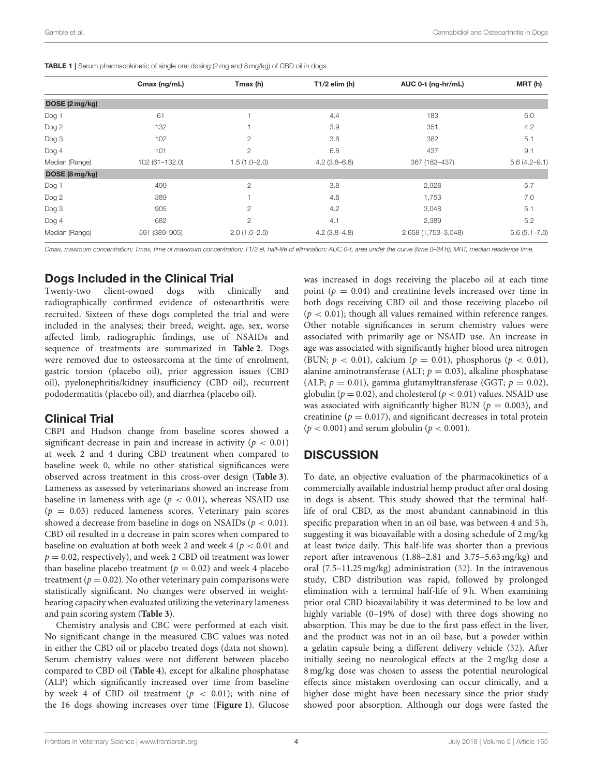<span id="page-3-0"></span>

| <b>TABLE 1</b> Serum pharmacokinetic of single oral dosing (2 mg and 8 mg/kg) of CBD oil in dogs. |  |
|---------------------------------------------------------------------------------------------------|--|
|---------------------------------------------------------------------------------------------------|--|

|                | Cmax (ng/mL)   | Tmax (h)         | $T1/2$ elim (h) | AUC 0-t (ng-hr/mL)  | MRT(h)           |
|----------------|----------------|------------------|-----------------|---------------------|------------------|
| DOSE (2 mg/kg) |                |                  |                 |                     |                  |
| Dog 1          | 61             |                  | 4.4             | 183                 | 6.0              |
| Dog 2          | 132            |                  | 3.9             | 351                 | 4.2              |
| Dog 3          | 102            | 2                | 3.8             | 382                 | 5.1              |
| Dog 4          | 101            | $\overline{2}$   | 6.8             | 437                 | 9.1              |
| Median (Range) | 102 (61-132.0) | $1.5(1.0 - 2.0)$ | $4.2(3.8-6.8)$  | 367 (183-437)       | $5.6(4.2 - 9.1)$ |
| DOSE (8 mg/kg) |                |                  |                 |                     |                  |
| Dog 1          | 499            | $\overline{2}$   | 3.8             | 2,928               | 5.7              |
| Dog 2          | 389            |                  | 4.8             | 1,753               | 7.0              |
| Dog 3          | 905            | 2                | 4.2             | 3,048               | 5.1              |
| Dog 4          | 682            | 2                | 4.1             | 2,389               | 5.2              |
| Median (Range) | 591 (389-905)  | $2.0(1.0 - 2.0)$ | $4.2(3.8-4.8)$  | 2,658 (1,753-3,048) | $5.6(5.1 - 7.0)$ |

*Cmax, maximum concentration; Tmax, time of maximum concentration; T1/2 el, half-life of elimination; AUC 0-t, area under the curve (time 0–24 h); MRT, median residence time.*

### Dogs Included in the Clinical Trial

Twenty-two client-owned dogs with clinically and radiographically confirmed evidence of osteoarthritis were recruited. Sixteen of these dogs completed the trial and were included in the analyses; their breed, weight, age, sex, worse affected limb, radiographic findings, use of NSAIDs and sequence of treatments are summarized in **[Table 2](#page-4-0)**. Dogs were removed due to osteosarcoma at the time of enrolment, gastric torsion (placebo oil), prior aggression issues (CBD oil), pyelonephritis/kidney insufficiency (CBD oil), recurrent pododermatitis (placebo oil), and diarrhea (placebo oil).

#### Clinical Trial

CBPI and Hudson change from baseline scores showed a significant decrease in pain and increase in activity ( $p < 0.01$ ) at week 2 and 4 during CBD treatment when compared to baseline week 0, while no other statistical significances were observed across treatment in this cross-over design (**[Table 3](#page-5-0)**). Lameness as assessed by veterinarians showed an increase from baseline in lameness with age ( $p < 0.01$ ), whereas NSAID use  $(p = 0.03)$  reduced lameness scores. Veterinary pain scores showed a decrease from baseline in dogs on NSAIDs ( $p < 0.01$ ). CBD oil resulted in a decrease in pain scores when compared to baseline on evaluation at both week 2 and week 4 ( $p < 0.01$  and  $p = 0.02$ , respectively), and week 2 CBD oil treatment was lower than baseline placebo treatment ( $p = 0.02$ ) and week 4 placebo treatment ( $p = 0.02$ ). No other veterinary pain comparisons were statistically significant. No changes were observed in weightbearing capacity when evaluated utilizing the veterinary lameness and pain scoring system (**[Table 3](#page-5-0)**).

Chemistry analysis and CBC were performed at each visit. No significant change in the measured CBC values was noted in either the CBD oil or placebo treated dogs (data not shown). Serum chemistry values were not different between placebo compared to CBD oil (**[Table 4](#page-5-1)**), except for alkaline phosphatase (ALP) which significantly increased over time from baseline by week 4 of CBD oil treatment ( $p < 0.01$ ); with nine of the 16 dogs showing increases over time (**[Figure 1](#page-6-0)**). Glucose was increased in dogs receiving the placebo oil at each time point ( $p = 0.04$ ) and creatinine levels increased over time in both dogs receiving CBD oil and those receiving placebo oil  $(p < 0.01)$ ; though all values remained within reference ranges. Other notable significances in serum chemistry values were associated with primarily age or NSAID use. An increase in age was associated with significantly higher blood urea nitrogen (BUN;  $p < 0.01$ ), calcium ( $p = 0.01$ ), phosphorus ( $p < 0.01$ ), alanine aminotransferase (ALT;  $p = 0.03$ ), alkaline phosphatase (ALP;  $p = 0.01$ ), gamma glutamyltransferase (GGT;  $p = 0.02$ ), globulin ( $p = 0.02$ ), and cholesterol ( $p < 0.01$ ) values. NSAID use was associated with significantly higher BUN ( $p = 0.003$ ), and creatinine ( $p = 0.017$ ), and significant decreases in total protein  $(p < 0.001)$  and serum globulin  $(p < 0.001)$ .

# **DISCUSSION**

To date, an objective evaluation of the pharmacokinetics of a commercially available industrial hemp product after oral dosing in dogs is absent. This study showed that the terminal halflife of oral CBD, as the most abundant cannabinoid in this specific preparation when in an oil base, was between 4 and 5 h, suggesting it was bioavailable with a dosing schedule of 2 mg/kg at least twice daily. This half-life was shorter than a previous report after intravenous (1.88–2.81 and 3.75–5.63 mg/kg) and oral (7.5–11.25 mg/kg) administration [\(32\)](#page-7-27). In the intravenous study, CBD distribution was rapid, followed by prolonged elimination with a terminal half-life of 9 h. When examining prior oral CBD bioavailability it was determined to be low and highly variable (0–19% of dose) with three dogs showing no absorption. This may be due to the first pass effect in the liver, and the product was not in an oil base, but a powder within a gelatin capsule being a different delivery vehicle [\(32\)](#page-7-27). After initially seeing no neurological effects at the 2 mg/kg dose a 8 mg/kg dose was chosen to assess the potential neurological effects since mistaken overdosing can occur clinically, and a higher dose might have been necessary since the prior study showed poor absorption. Although our dogs were fasted the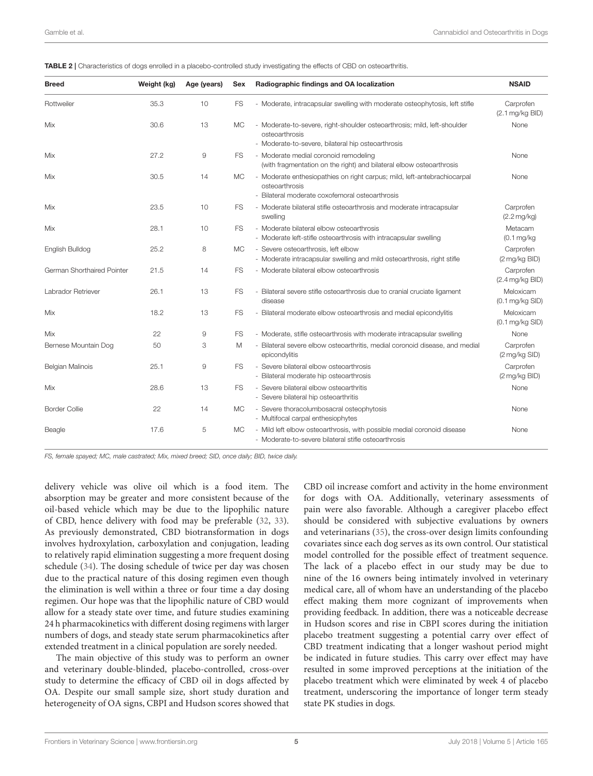<span id="page-4-0"></span>

| <b>Breed</b>               | Weight (kg) | Age (years) | Sex       | Radiographic findings and OA localization                                                                                                        | <b>NSAID</b>                           |
|----------------------------|-------------|-------------|-----------|--------------------------------------------------------------------------------------------------------------------------------------------------|----------------------------------------|
| Rottweiler                 | 35.3        | 10          | <b>FS</b> | - Moderate, intracapsular swelling with moderate osteophytosis, left stifle                                                                      | Carprofen<br>$(2.1 \text{ mg/kg BID})$ |
| Mix                        | 30.6        | 13          | <b>MC</b> | - Moderate-to-severe, right-shoulder osteoarthrosis; mild, left-shoulder<br>osteoarthrosis<br>- Moderate-to-severe, bilateral hip osteoarthrosis | None                                   |
| Mix                        | 27.2        | $\mathsf 9$ | <b>FS</b> | - Moderate medial coronoid remodeling<br>(with fragmentation on the right) and bilateral elbow osteoarthrosis                                    | None                                   |
| Mix                        | 30.5        | 14          | <b>MC</b> | - Moderate enthesiopathies on right carpus; mild, left-antebrachiocarpal<br>osteoarthrosis<br>- Bilateral moderate coxofemoral osteoarthrosis    | None                                   |
| Mix                        | 23.5        | 10          | <b>FS</b> | - Moderate bilateral stifle osteoarthrosis and moderate intracapsular<br>swelling                                                                | Carprofen<br>$(2.2 \text{ mg/kg})$     |
| Mix                        | 28.1        | 10          | <b>FS</b> | - Moderate bilateral elbow osteoarthrosis<br>- Moderate left-stifle osteoarthrosis with intracapsular swelling                                   | Metacam<br>$(0.1 \text{ mg/kg})$       |
| English Bulldog            | 25.2        | 8           | <b>MC</b> | - Severe osteoarthrosis, left elbow<br>- Moderate intracapsular swelling and mild osteoarthrosis, right stifle                                   | Carprofen<br>(2 mg/kg BID)             |
| German Shorthaired Pointer | 21.5        | 14          | <b>FS</b> | - Moderate bilateral elbow osteoarthrosis                                                                                                        | Carprofen<br>$(2.4 \text{ mg/kg BID})$ |
| Labrador Retriever         | 26.1        | 13          | FS        | - Bilateral severe stifle osteoarthrosis due to cranial cruciate ligament<br>disease                                                             | Meloxicam<br>$(0.1 \text{ mg/kg SID})$ |
| Mix                        | 18.2        | 13          | <b>FS</b> | - Bilateral moderate elbow osteoarthrosis and medial epicondylitis                                                                               | Meloxicam<br>$(0.1 \text{ mg/kg SID})$ |
| Mix                        | 22          | 9           | <b>FS</b> | - Moderate, stifle osteoarthrosis with moderate intracapsular swelling                                                                           | None                                   |
| Bernese Mountain Dog       | 50          | 3           | M         | - Bilateral severe elbow osteoarthritis, medial coronoid disease, and medial<br>epicondylitis                                                    | Carprofen<br>$(2 \text{ mg/kg SID})$   |
| <b>Belgian Malinois</b>    | 25.1        | 9           | <b>FS</b> | - Severe bilateral elbow osteoarthrosis<br>- Bilateral moderate hip osteoarthrosis                                                               | Carprofen<br>(2 mg/kg BID)             |
| Mix                        | 28.6        | 13          | <b>FS</b> | - Severe bilateral elbow osteoarthritis<br>- Severe bilateral hip osteoarthritis                                                                 | None                                   |
| <b>Border Collie</b>       | 22          | 14          | <b>MC</b> | - Severe thoracolumbosacral osteophytosis<br>- Multifocal carpal enthesiophytes                                                                  | None                                   |
| Beagle                     | 17.6        | 5           | <b>MC</b> | - Mild left elbow osteoarthrosis, with possible medial coronoid disease<br>- Moderate-to-severe bilateral stifle osteoarthrosis                  | None                                   |

*FS, female spayed; MC, male castrated; Mix, mixed breed; SID, once daily; BID, twice daily.*

delivery vehicle was olive oil which is a food item. The absorption may be greater and more consistent because of the oil-based vehicle which may be due to the lipophilic nature of CBD, hence delivery with food may be preferable [\(32,](#page-7-27) [33\)](#page-7-28). As previously demonstrated, CBD biotransformation in dogs involves hydroxylation, carboxylation and conjugation, leading to relatively rapid elimination suggesting a more frequent dosing schedule [\(34\)](#page-7-29). The dosing schedule of twice per day was chosen due to the practical nature of this dosing regimen even though the elimination is well within a three or four time a day dosing regimen. Our hope was that the lipophilic nature of CBD would allow for a steady state over time, and future studies examining 24 h pharmacokinetics with different dosing regimens with larger numbers of dogs, and steady state serum pharmacokinetics after extended treatment in a clinical population are sorely needed.

The main objective of this study was to perform an owner and veterinary double-blinded, placebo-controlled, cross-over study to determine the efficacy of CBD oil in dogs affected by OA. Despite our small sample size, short study duration and heterogeneity of OA signs, CBPI and Hudson scores showed that CBD oil increase comfort and activity in the home environment for dogs with OA. Additionally, veterinary assessments of pain were also favorable. Although a caregiver placebo effect should be considered with subjective evaluations by owners and veterinarians [\(35\)](#page-7-30), the cross-over design limits confounding covariates since each dog serves as its own control. Our statistical model controlled for the possible effect of treatment sequence. The lack of a placebo effect in our study may be due to nine of the 16 owners being intimately involved in veterinary medical care, all of whom have an understanding of the placebo effect making them more cognizant of improvements when providing feedback. In addition, there was a noticeable decrease in Hudson scores and rise in CBPI scores during the initiation placebo treatment suggesting a potential carry over effect of CBD treatment indicating that a longer washout period might be indicated in future studies. This carry over effect may have resulted in some improved perceptions at the initiation of the placebo treatment which were eliminated by week 4 of placebo treatment, underscoring the importance of longer term steady state PK studies in dogs.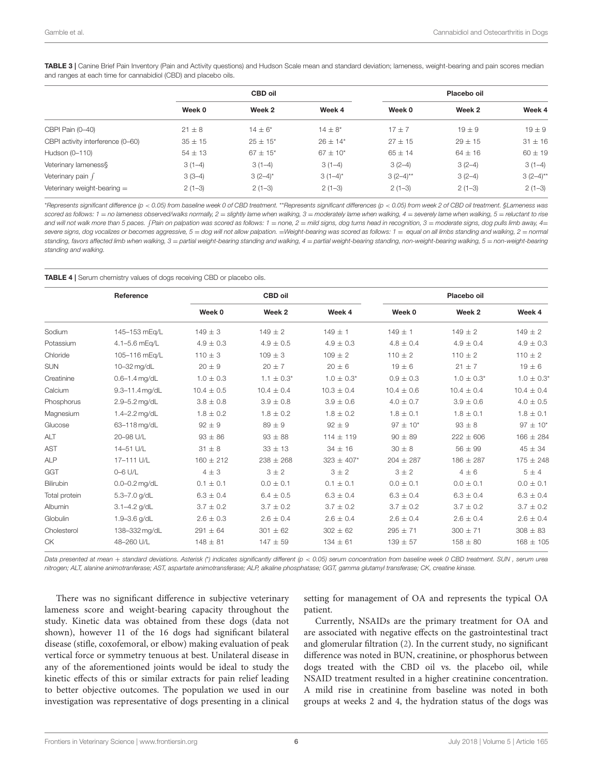<span id="page-5-0"></span>TABLE 3 | Canine Brief Pain Inventory (Pain and Activity questions) and Hudson Scale mean and standard deviation; lameness, weight-bearing and pain scores median and ranges at each time for cannabidiol (CBD) and placebo oils.

|                                   | <b>CBD oil</b> |                          |                 | Placebo oil |             |             |
|-----------------------------------|----------------|--------------------------|-----------------|-------------|-------------|-------------|
|                                   | Week 0         | Week 2                   | Week 4          | Week 0      | Week 2      | Week 4      |
| CBPI Pain (0-40)                  | $21 \pm 8$     | $14 \pm 6*$              | $14 \pm 8*$     | $17 + 7$    | $19 \pm 9$  | $19 \pm 9$  |
| CBPI activity interference (0-60) | $35 \pm 15$    | $25 \pm 15^{*}$          | $26 \pm 14*$    | $27 \pm 15$ | $29 \pm 15$ | $31 \pm 16$ |
| Hudson (0-110)                    | $54 \pm 13$    | $67 \pm 15$ <sup>*</sup> | $67 \pm 10^{*}$ | $65 \pm 14$ | $64 \pm 16$ | $60 \pm 19$ |
| Veterinary lameness\$             | $3(1-4)$       | $3(1-4)$                 | $3(1-4)$        | $3(2-4)$    | $3(2-4)$    | $3(1-4)$    |
| Veterinary pain f                 | $3(3-4)$       | $3(2-4)$ *               | $3(1-4)^{*}$    | $3(2-4)$ ** | $3(2-4)$    | $3(2-4)$ ** |
| Veterinary weight-bearing $=$     | $2(1-3)$       | $2(1-3)$                 | $2(1-3)$        | $2(1-3)$    | $2(1-3)$    | $2(1-3)$    |
|                                   |                |                          |                 |             |             |             |

\**Represents significant difference (p* < *0.05) from baseline week 0 of CBD treatment.* \*\**Represents significant differences (p* < *0.05) from week 2 of CBD oil treatment. §Lameness was scored as follows: 1* = *no lameness observed/walks normally, 2* = *slightly lame when walking, 3* = *moderately lame when walking, 4* = *severely lame when walking, 5* = *reluctant to rise* and will not walk more than 5 paces. [Pain on palpation was scored as follows: 1 = none, 2 = mild signs, dog turns head in recognition, 3 = moderate signs, dog pulls limb away, 4= *severe signs, dog vocalizes or becomes aggressive, 5* = *dog will not allow palpation.* =*Weight-bearing was scored as follows: 1* = *equal on all limbs standing and walking, 2* = *normal standing, favors affected limb when walking, 3* = *partial weight-bearing standing and walking, 4* = *partial weight-bearing standing, non-weight-bearing walking, 5* = *non-weight-bearing standing and walking.*

#### <span id="page-5-1"></span>TABLE 4 | Serum chemistry values of dogs receiving CBD or placebo oils.

|               | Reference         | <b>CBD oil</b> |                 |                | Placebo oil     |                |                 |
|---------------|-------------------|----------------|-----------------|----------------|-----------------|----------------|-----------------|
|               |                   | Week 0         | Week 2          | Week 4         | Week 0          | Week 2         | Week 4          |
| Sodium        | 145-153 mEg/L     | $149 \pm 3$    | $149 \pm 2$     | $149 \pm 1$    | $149 \pm 1$     | $149 \pm 2$    | $149 \pm 2$     |
| Potassium     | 4.1-5.6 mEg/L     | $4.9 \pm 0.3$  | $4.9 \pm 0.5$   | $4.9 \pm 0.3$  | $4.8 \pm 0.4$   | $4.9 \pm 0.4$  | $4.9 \pm 0.3$   |
| Chloride      | 105-116 mEg/L     | $110 \pm 3$    | $109 \pm 3$     | $109 \pm 2$    | $110 \pm 2$     | $110 \pm 2$    | $110 \pm 2$     |
| <b>SUN</b>    | 10-32 mg/dL       | $20 \pm 9$     | $20 \pm 7$      | $20 \pm 6$     | $19 \pm 6$      | $21 \pm 7$     | $19 \pm 6$      |
| Creatinine    | $0.6 - 1.4$ mg/dL | $1.0 \pm 0.3$  | $1.1 \pm 0.3^*$ | $1.0 \pm 0.3*$ | $0.9 \pm 0.3$   | $1.0 \pm 0.3*$ | $1.0 \pm 0.3^*$ |
| Calcium       | 9.3-11.4 mg/dL    | $10.4 \pm 0.5$ | $10.4 \pm 0.4$  | $10.3 \pm 0.4$ | $10.4 \pm 0.6$  | $10.4 \pm 0.4$ | $10.4 \pm 0.4$  |
| Phosphorus    | 2.9-5.2 mg/dL     | $3.8 \pm 0.8$  | $3.9 \pm 0.8$   | $3.9 \pm 0.6$  | $4.0 \pm 0.7$   | $3.9 \pm 0.6$  | $4.0 \pm 0.5$   |
| Magnesium     | 1.4-2.2 mg/dL     | $1.8 \pm 0.2$  | $1.8 \pm 0.2$   | $1.8 \pm 0.2$  | $1.8 \pm 0.1$   | $1.8 \pm 0.1$  | $1.8 \pm 0.1$   |
| Glucose       | 63-118 mg/dL      | $92 \pm 9$     | $89 \pm 9$      | $92 \pm 9$     | $97 \pm 10^{*}$ | $93 \pm 8$     | $97 \pm 10^{*}$ |
| ALT           | 20-98 U/L         | $93 \pm 86$    | $93 \pm 88$     | $114 \pm 119$  | $90 \pm 89$     | $222 \pm 606$  | $166 \pm 284$   |
| <b>AST</b>    | 14-51 U/L         | $31 \pm 8$     | $33 \pm 13$     | $34 \pm 16$    | $30 \pm 8$      | $56 \pm 99$    | $45 \pm 34$     |
| <b>ALP</b>    | 17-111 U/L        | $160 \pm 212$  | $238 \pm 268$   | $323 \pm 407*$ | $204 \pm 287$   | $186 \pm 287$  | $175 \pm 248$   |
| GGT           | $0-6$ U/L         | $4 \pm 3$      | 3±2             | 3 ± 2          | 3±2             | $4 \pm 6$      | 5±4             |
| Bilirubin     | $0.0 - 0.2$ mg/dL | $0.1 \pm 0.1$  | $0.0 \pm 0.1$   | $0.1 \pm 0.1$  | $0.0 \pm 0.1$   | $0.0 \pm 0.1$  | $0.0 \pm 0.1$   |
| Total protein | 5.3-7.0 g/dL      | $6.3 \pm 0.4$  | $6.4 \pm 0.5$   | $6.3 \pm 0.4$  | $6.3 \pm 0.4$   | $6.3 \pm 0.4$  | $6.3 \pm 0.4$   |
| Albumin       | $3.1 - 4.2$ g/dL  | $3.7 \pm 0.2$  | $3.7 \pm 0.2$   | $3.7 \pm 0.2$  | $3.7 \pm 0.2$   | $3.7 \pm 0.2$  | $3.7 \pm 0.2$   |
| Globulin      | 1.9-3.6 $q/dL$    | $2.6 \pm 0.3$  | $2.6 \pm 0.4$   | $2.6 \pm 0.4$  | $2.6 \pm 0.4$   | $2.6 \pm 0.4$  | $2.6 \pm 0.4$   |
| Cholesterol   | 138-332 mg/dL     | $291 \pm 64$   | $301 \pm 62$    | $302 \pm 62$   | $295 \pm 71$    | $300 \pm 71$   | $308 \pm 83$    |
| <b>CK</b>     | 48-260 U/L        | $148 \pm 81$   | $147 \pm 59$    | $134 \pm 61$   | $139 \pm 57$    | $158 \pm 80$   | $168 \pm 105$   |

*Data presented at mean* + *standard deviations. Asterisk (*\**) indicates significantly different (p* < *0.05) serum concentration from baseline week 0 CBD treatment. SUN , serum urea nitrogen; ALT, alanine animotranferase; AST, aspartate animotransferase; ALP, alkaline phosphatase; GGT, gamma glutamyl transferase; CK, creatine kinase.*

There was no significant difference in subjective veterinary lameness score and weight-bearing capacity throughout the study. Kinetic data was obtained from these dogs (data not shown), however 11 of the 16 dogs had significant bilateral disease (stifle, coxofemoral, or elbow) making evaluation of peak vertical force or symmetry tenuous at best. Unilateral disease in any of the aforementioned joints would be ideal to study the kinetic effects of this or similar extracts for pain relief leading to better objective outcomes. The population we used in our investigation was representative of dogs presenting in a clinical

setting for management of OA and represents the typical OA patient.

Currently, NSAIDs are the primary treatment for OA and are associated with negative effects on the gastrointestinal tract and glomerular filtration [\(2\)](#page-7-31). In the current study, no significant difference was noted in BUN, creatinine, or phosphorus between dogs treated with the CBD oil vs. the placebo oil, while NSAID treatment resulted in a higher creatinine concentration. A mild rise in creatinine from baseline was noted in both groups at weeks 2 and 4, the hydration status of the dogs was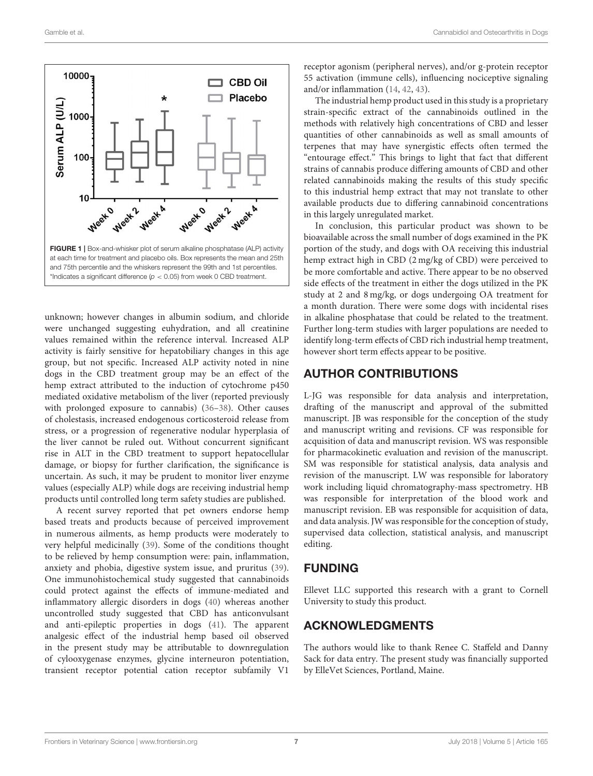

<span id="page-6-0"></span>unknown; however changes in albumin sodium, and chloride were unchanged suggesting euhydration, and all creatinine values remained within the reference interval. Increased ALP activity is fairly sensitive for hepatobiliary changes in this age group, but not specific. Increased ALP activity noted in nine dogs in the CBD treatment group may be an effect of the hemp extract attributed to the induction of cytochrome p450 mediated oxidative metabolism of the liver (reported previously with prolonged exposure to cannabis) [\(36–](#page-7-32)[38\)](#page-7-33). Other causes of cholestasis, increased endogenous corticosteroid release from stress, or a progression of regenerative nodular hyperplasia of the liver cannot be ruled out. Without concurrent significant rise in ALT in the CBD treatment to support hepatocellular damage, or biopsy for further clarification, the significance is uncertain. As such, it may be prudent to monitor liver enzyme values (especially ALP) while dogs are receiving industrial hemp products until controlled long term safety studies are published.

A recent survey reported that pet owners endorse hemp based treats and products because of perceived improvement in numerous ailments, as hemp products were moderately to very helpful medicinally [\(39\)](#page-8-0). Some of the conditions thought to be relieved by hemp consumption were: pain, inflammation, anxiety and phobia, digestive system issue, and pruritus [\(39\)](#page-8-0). One immunohistochemical study suggested that cannabinoids could protect against the effects of immune-mediated and inflammatory allergic disorders in dogs [\(40\)](#page-8-1) whereas another uncontrolled study suggested that CBD has anticonvulsant and anti-epileptic properties in dogs [\(41\)](#page-8-2). The apparent analgesic effect of the industrial hemp based oil observed in the present study may be attributable to downregulation of cylooxygenase enzymes, glycine interneuron potentiation, transient receptor potential cation receptor subfamily V1

receptor agonism (peripheral nerves), and/or g-protein receptor 55 activation (immune cells), influencing nociceptive signaling and/or inflammation [\(14,](#page-7-10) [42,](#page-8-3) [43\)](#page-8-4).

The industrial hemp product used in this study is a proprietary strain-specific extract of the cannabinoids outlined in the methods with relatively high concentrations of CBD and lesser quantities of other cannabinoids as well as small amounts of terpenes that may have synergistic effects often termed the "entourage effect." This brings to light that fact that different strains of cannabis produce differing amounts of CBD and other related cannabinoids making the results of this study specific to this industrial hemp extract that may not translate to other available products due to differing cannabinoid concentrations in this largely unregulated market.

In conclusion, this particular product was shown to be bioavailable across the small number of dogs examined in the PK portion of the study, and dogs with OA receiving this industrial hemp extract high in CBD (2 mg/kg of CBD) were perceived to be more comfortable and active. There appear to be no observed side effects of the treatment in either the dogs utilized in the PK study at 2 and 8 mg/kg, or dogs undergoing OA treatment for a month duration. There were some dogs with incidental rises in alkaline phosphatase that could be related to the treatment. Further long-term studies with larger populations are needed to identify long-term effects of CBD rich industrial hemp treatment, however short term effects appear to be positive.

## AUTHOR CONTRIBUTIONS

L-JG was responsible for data analysis and interpretation, drafting of the manuscript and approval of the submitted manuscript. JB was responsible for the conception of the study and manuscript writing and revisions. CF was responsible for acquisition of data and manuscript revision. WS was responsible for pharmacokinetic evaluation and revision of the manuscript. SM was responsible for statistical analysis, data analysis and revision of the manuscript. LW was responsible for laboratory work including liquid chromatography-mass spectrometry. HB was responsible for interpretation of the blood work and manuscript revision. EB was responsible for acquisition of data, and data analysis. JW was responsible for the conception of study, supervised data collection, statistical analysis, and manuscript editing.

## FUNDING

Ellevet LLC supported this research with a grant to Cornell University to study this product.

# ACKNOWLEDGMENTS

The authors would like to thank Renee C. Staffeld and Danny Sack for data entry. The present study was financially supported by ElleVet Sciences, Portland, Maine.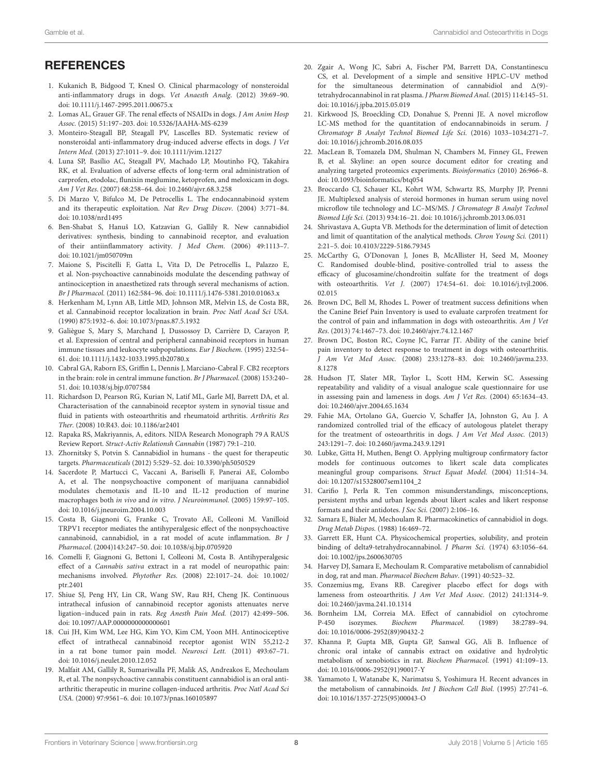# **REFERENCES**

- <span id="page-7-0"></span>1. Kukanich B, Bidgood T, Knesl O. Clinical pharmacology of nonsteroidal anti-inflammatory drugs in dogs. Vet Anaesth Analg. (2012) 39:69–90. doi: [10.1111/j.1467-2995.2011.00675.x](https://doi.org/10.1111/j.1467-2995.2011.00675.x)
- <span id="page-7-31"></span>2. Lomas AL, Grauer GF. The renal effects of NSAIDs in dogs. J Am Anim Hosp Assoc. (2015) 51:197–203. doi: [10.5326/JAAHA-MS-6239](https://doi.org/10.5326/JAAHA-MS-6239)
- <span id="page-7-2"></span>3. Monteiro-Steagall BP, Steagall PV, Lascelles BD. Systematic review of nonsteroidal anti-inflammatory drug-induced adverse effects in dogs. J Vet Intern Med. (2013) 27:1011–9. doi: [10.1111/jvim.12127](https://doi.org/10.1111/jvim.12127)
- <span id="page-7-1"></span>4. Luna SP, Basílio AC, Steagall PV, Machado LP, Moutinho FQ, Takahira RK, et al. Evaluation of adverse effects of long-term oral administration of carprofen, etodolac, flunixin meglumine, ketoprofen, and meloxicam in dogs. Am J Vet Res. (2007) 68:258–64. doi: [10.2460/ajvr.68.3.258](https://doi.org/10.2460/ajvr.68.3.258)
- <span id="page-7-3"></span>5. Di Marzo V, Bifulco M, De Petrocellis L. The endocannabinoid system and its therapeutic exploitation. Nat Rev Drug Discov. (2004) 3:771–84. doi: [10.1038/nrd1495](https://doi.org/10.1038/nrd1495)
- 6. Ben-Shabat S, Hanuš LO, Katzavian G, Gallily R. New cannabidiol derivatives: synthesis, binding to cannabinoid receptor, and evaluation of their antiinflammatory activity. J Med Chem. (2006) 49:1113–7. doi: [10.1021/jm050709m](https://doi.org/10.1021/jm050709m)
- <span id="page-7-4"></span>7. Maione S, Piscitelli F, Gatta L, Vita D, De Petrocellis L, Palazzo E, et al. Non-psychoactive cannabinoids modulate the descending pathway of antinociception in anaesthetized rats through several mechanisms of action. Br J Pharmacol. (2011) 162:584–96. doi: [10.1111/j.1476-5381.2010.01063.x](https://doi.org/10.1111/j.1476-5381.2010.01063.x)
- <span id="page-7-5"></span>8. Herkenham M, Lynn AB, Little MD, Johnson MR, Melvin LS, de Costa BR, et al. Cannabinoid receptor localization in brain. Proc Natl Acad Sci USA. (1990) 875:1932–6. doi: [10.1073/pnas.87.5.1932](https://doi.org/10.1073/pnas.87.5.1932)
- 9. Galiègue S, Mary S, Marchand J, Dussossoy D, Carrière D, Carayon P, et al. Expression of central and peripheral cannabinoid receptors in human immune tissues and leukocyte subpopulations. Eur J Biochem. (1995) 232:54– 61. doi: [10.1111/j.1432-1033.1995.tb20780.x](https://doi.org/10.1111/j.1432-1033.1995.tb20780.x)
- <span id="page-7-6"></span>10. Cabral GA, Raborn ES, Griffin L, Dennis J, Marciano-Cabral F. CB2 receptors in the brain: role in central immune function. Br J Pharmacol. (2008) 153:240– 51. doi: [10.1038/sj.bjp.0707584](https://doi.org/10.1038/sj.bjp.0707584)
- <span id="page-7-7"></span>11. Richardson D, Pearson RG, Kurian N, Latif ML, Garle MJ, Barrett DA, et al. Characterisation of the cannabinoid receptor system in synovial tissue and fluid in patients with osteoarthritis and rheumatoid arthritis. Arthritis Res Ther. (2008) 10:R43. doi: [10.1186/ar2401](https://doi.org/10.1186/ar2401)
- <span id="page-7-8"></span>12. Rapaka RS, Makriyannis, A, editors. NIDA Research Monograph 79 A RAUS Review Report. Struct-Activ Relationsh Cannabin (1987) 79:1–210.
- <span id="page-7-9"></span>13. Zhornitsky S, Potvin S. Cannabidiol in humans - the quest for therapeutic targets. Pharmaceuticals (2012) 5:529–52. doi: [10.3390/ph5050529](https://doi.org/10.3390/ph5050529)
- <span id="page-7-10"></span>14. Sacerdote P, Martucci C, Vaccani A, Bariselli F, Panerai AE, Colombo A, et al. The nonpsychoactive component of marijuana cannabidiol modulates chemotaxis and IL-10 and IL-12 production of murine macrophages both in vivo and in vitro. J Neuroimmunol. (2005) 159:97–105. doi: [10.1016/j.jneuroim.2004.10.003](https://doi.org/10.1016/j.jneuroim.2004.10.003)
- <span id="page-7-11"></span>15. Costa B, Giagnoni G, Franke C, Trovato AE, Colleoni M. Vanilloid TRPV1 receptor mediates the antihyperalgesic effect of the nonpsychoactive cannabinoid, cannabidiol, in a rat model of acute inflammation. Br J Pharmacol. (2004)143:247–50. doi: [10.1038/sj.bjp.0705920](https://doi.org/10.1038/sj.bjp.0705920)
- <span id="page-7-12"></span>16. Comelli F, Giagnoni G, Bettoni I, Colleoni M, Costa B. Antihyperalgesic effect of a Cannabis sativa extract in a rat model of neuropathic pain: mechanisms involved. Phytother Res. [\(2008\) 22:1017–24. doi: 10.1002/](https://doi.org/10.1002/ptr.2401) ptr.2401
- <span id="page-7-13"></span>17. Shiue SJ, Peng HY, Lin CR, Wang SW, Rau RH, Cheng JK. Continuous intrathecal infusion of cannabinoid receptor agonists attenuates nerve ligation–induced pain in rats. Reg Anesth Pain Med. (2017) 42:499–506. doi: [10.1097/AAP.0000000000000601](https://doi.org/10.1097/AAP.0000000000000601)
- <span id="page-7-14"></span>18. Cui JH, Kim WM, Lee HG, Kim YO, Kim CM, Yoon MH. Antinociceptive effect of intrathecal cannabinoid receptor agonist WIN 55,212-2 in a rat bone tumor pain model. Neurosci Lett. (2011) 493:67–71. doi: [10.1016/j.neulet.2010.12.052](https://doi.org/10.1016/j.neulet.2010.12.052)
- <span id="page-7-15"></span>19. Malfait AM, Gallily R, Sumariwalla PF, Malik AS, Andreakos E, Mechoulam R, et al. The nonpsychoactive cannabis constituent cannabidiol is an oral antiarthritic therapeutic in murine collagen-induced arthritis. Proc Natl Acad Sci USA. (2000) 97:9561–6. doi: [10.1073/pnas.160105897](https://doi.org/10.1073/pnas.160105897)
- <span id="page-7-16"></span>20. Zgair A, Wong JC, Sabri A, Fischer PM, Barrett DA, Constantinescu CS, et al. Development of a simple and sensitive HPLC–UV method for the simultaneous determination of cannabidiol and  $\Delta(9)$ tetrahydrocannabinol in rat plasma. J Pharm Biomed Anal. (2015) 114:145–51. doi: [10.1016/j.jpba.2015.05.019](https://doi.org/10.1016/j.jpba.2015.05.019)
- <span id="page-7-17"></span>21. Kirkwood JS, Broeckling CD, Donahue S, Prenni JE. A novel microflow LC-MS method for the quantitation of endocannabinoids in serum. J Chromatogr B Analyt Technol Biomed Life Sci. (2016) 1033–1034:271–7. doi: [10.1016/j.jchromb.2016.08.035](https://doi.org/10.1016/j.jchromb.2016.08.035)
- <span id="page-7-18"></span>22. MacLean B, Tomazela DM, Shulman N, Chambers M, Finney GL, Frewen B, et al. Skyline: an open source document editor for creating and analyzing targeted proteomics experiments. Bioinformatics (2010) 26:966–8. doi: [10.1093/bioinformatics/btq054](https://doi.org/10.1093/bioinformatics/btq054)
- <span id="page-7-19"></span>23. Broccardo CJ, Schauer KL, Kohrt WM, Schwartz RS, Murphy JP, Prenni JE. Multiplexed analysis of steroid hormones in human serum using novel microflow tile technology and LC–MS/MS. J Chromatogr B Analyt Technol Biomed Life Sci. (2013) 934:16–21. doi: [10.1016/j.jchromb.2013.06.031](https://doi.org/10.1016/j.jchromb.2013.06.031)
- <span id="page-7-20"></span>24. Shrivastava A, Gupta VB. Methods for the determination of limit of detection and limit of quantitation of the analytical methods. Chron Young Sci. (2011) 2:21–5. doi: [10.4103/2229-5186.79345](https://doi.org/10.4103/2229-5186.79345)
- <span id="page-7-21"></span>25. McCarthy G, O'Donovan J, Jones B, McAllister H, Seed M, Mooney C. Randomised double-blind, positive-controlled trial to assess the efficacy of glucosamine/chondroitin sulfate for the treatment of dogs with osteoarthritis. Vet J[. \(2007\) 174:54–61. doi: 10.1016/j.tvjl.2006.](https://doi.org/10.1016/j.tvjl.2006.02.015) 02.015
- <span id="page-7-22"></span>26. Brown DC, Bell M, Rhodes L. Power of treatment success definitions when the Canine Brief Pain Inventory is used to evaluate carprofen treatment for the control of pain and inflammation in dogs with osteoarthritis. Am J Vet Res. (2013) 74:1467–73. doi: [10.2460/ajvr.74.12.1467](https://doi.org/10.2460/ajvr.74.12.1467)
- 27. Brown DC, Boston RC, Coyne JC, Farrar JT. Ability of the canine brief pain inventory to detect response to treatment in dogs with osteoarthritis. J Am Vet Med Assoc. [\(2008\) 233:1278–83. doi: 10.2460/javma.233.](https://doi.org/10.2460/javma.233.8.1278) 8.1278
- <span id="page-7-23"></span>28. Hudson JT, Slater MR, Taylor L, Scott HM, Kerwin SC. Assessing repeatability and validity of a visual analogue scale questionnaire for use in assessing pain and lameness in dogs. Am J Vet Res. (2004) 65:1634–43. doi: [10.2460/ajvr.2004.65.1634](https://doi.org/10.2460/ajvr.2004.65.1634)
- <span id="page-7-24"></span>29. Fahie MA, Ortolano GA, Guercio V, Schaffer JA, Johnston G, Au J. A randomized controlled trial of the efficacy of autologous platelet therapy for the treatment of osteoarthritis in dogs. J Am Vet Med Assoc. (2013) 243:1291–7. doi: [10.2460/javma.243.9.1291](https://doi.org/10.2460/javma.243.9.1291)
- <span id="page-7-25"></span>30. Lubke, Gitta H, Muthen, Bengt O. Applying multigroup confirmatory factor models for continuous outcomes to likert scale data complicates meaningful group comparisons. Struct Equat Model. (2004) 11:514–34. doi: [10.1207/s15328007sem1104\\_2](https://doi.org/10.1207/s15328007sem1104_2)
- <span id="page-7-26"></span>31. Carifio J, Perla R. Ten common misunderstandings, misconceptions, persistent myths and urban legends about likert scales and likert response formats and their antidotes. J Soc Sci. (2007) 2:106–16.
- <span id="page-7-27"></span>32. Samara E, Bialer M, Mechoulam R. Pharmacokinetics of cannabidiol in dogs. Drug Metab Dispos. (1988) 16:469–72.
- <span id="page-7-28"></span>33. Garrett ER, Hunt CA. Physicochemical properties, solubility, and protein binding of delta9-tetrahydrocannabinol. J Pharm Sci. (1974) 63:1056–64. doi: [10.1002/jps.2600630705](https://doi.org/10.1002/jps.2600630705)
- <span id="page-7-29"></span>34. Harvey DJ, Samara E, Mechoulam R. Comparative metabolism of cannabidiol in dog, rat and man. Pharmacol Biochem Behav. (1991) 40:523–32.
- <span id="page-7-30"></span>35. Conzemius mg, Evans RB. Caregiver placebo effect for dogs with lameness from osteoarthritis. J Am Vet Med Assoc. (2012) 241:1314–9. doi: [10.2460/javma.241.10.1314](https://doi.org/10.2460/javma.241.10.1314)
- <span id="page-7-32"></span>36. Bornheim LM, Correia MA. Effect of cannabidiol on cytochrome P-450 isozymes. Biochem Pharmacol. (1989) 38:2789–94. doi: [10.1016/0006-2952\(89\)90432-2](https://doi.org/10.1016/0006-2952(89)90432-2)
- 37. Khanna P, Gupta MB, Gupta GP, Sanwal GG, Ali B. Influence of chronic oral intake of cannabis extract on oxidative and hydrolytic metabolism of xenobiotics in rat. Biochem Pharmacol. (1991) 41:109–13. doi: [10.1016/0006-2952\(91\)90017-Y](https://doi.org/10.1016/0006-2952(91)90017-Y)
- <span id="page-7-33"></span>38. Yamamoto I, Watanabe K, Narimatsu S, Yoshimura H. Recent advances in the metabolism of cannabinoids. Int J Biochem Cell Biol. (1995) 27:741–6. doi: [10.1016/1357-2725\(95\)00043-O](https://doi.org/10.1016/1357-2725(95)00043-O)